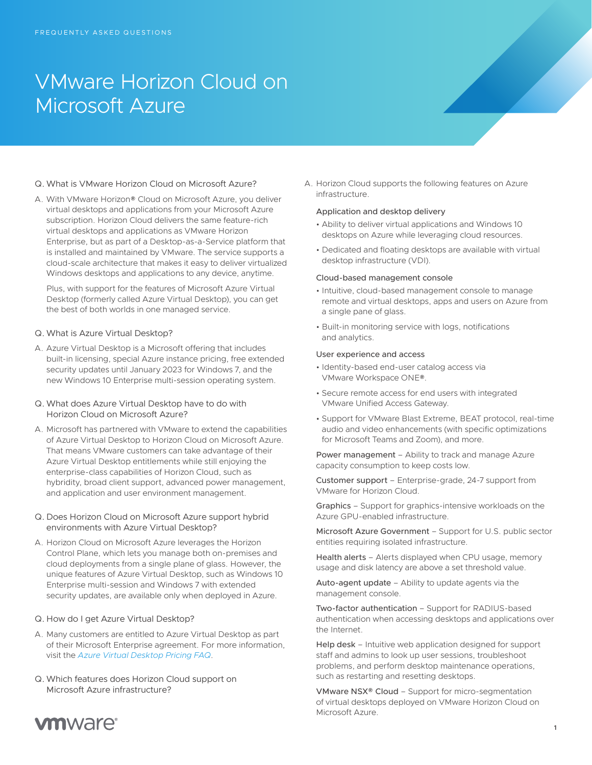# VMware Horizon Cloud on Microsoft Azure

# Q. What is VMware Horizon Cloud on Microsoft Azure?

A. With VMware Horizon® Cloud on Microsoft Azure, you deliver virtual desktops and applications from your Microsoft Azure subscription. Horizon Cloud delivers the same feature-rich virtual desktops and applications as VMware Horizon Enterprise, but as part of a Desktop-as-a-Service platform that is installed and maintained by VMware. The service supports a cloud-scale architecture that makes it easy to deliver virtualized Windows desktops and applications to any device, anytime.

Plus, with support for the features of Microsoft Azure Virtual Desktop (formerly called Azure Virtual Desktop), you can get the best of both worlds in one managed service.

## Q. What is Azure Virtual Desktop?

- A. Azure Virtual Desktop is a Microsoft offering that includes built-in licensing, special Azure instance pricing, free extended security updates until January 2023 for Windows 7, and the new Windows 10 Enterprise multi-session operating system.
- Q. What does Azure Virtual Desktop have to do with Horizon Cloud on Microsoft Azure?
- A. Microsoft has partnered with VMware to extend the capabilities of Azure Virtual Desktop to Horizon Cloud on Microsoft Azure. That means VMware customers can take advantage of their Azure Virtual Desktop entitlements while still enjoying the enterprise-class capabilities of Horizon Cloud, such as hybridity, broad client support, advanced power management, and application and user environment management.
- Q. Does Horizon Cloud on Microsoft Azure support hybrid environments with Azure Virtual Desktop?
- A. Horizon Cloud on Microsoft Azure leverages the Horizon Control Plane, which lets you manage both on-premises and cloud deployments from a single plane of glass. However, the unique features of Azure Virtual Desktop, such as Windows 10 Enterprise multi-session and Windows 7 with extended security updates, are available only when deployed in Azure.

#### Q. How do I get Azure Virtual Desktop?

- A. Many customers are entitled to Azure Virtual Desktop as part of their Microsoft Enterprise agreement. For more information, visit the *[Azure Virtual Desktop Pricing FAQ](https://azure.microsoft.com/en-us/pricing/details/virtual-desktop/)*.
- Q. Which features does Horizon Cloud support on Microsoft Azure infrastructure?

A. Horizon Cloud supports the following features on Azure infrastructure.

### Application and desktop delivery

- Ability to deliver virtual applications and Windows 10 desktops on Azure while leveraging cloud resources.
- Dedicated and floating desktops are available with virtual desktop infrastructure (VDI).

#### Cloud-based management console

- Intuitive, cloud-based management console to manage remote and virtual desktops, apps and users on Azure from a single pane of glass.
- Built-in monitoring service with logs, notifications and analytics.

#### User experience and access

- Identity-based end-user catalog access via VMware Workspace ONE®.
- Secure remote access for end users with integrated VMware Unified Access Gateway.
- Support for VMware Blast Extreme, BEAT protocol, real-time audio and video enhancements (with specific optimizations for Microsoft Teams and Zoom), and more.

Power management – Ability to track and manage Azure capacity consumption to keep costs low.

Customer support – Enterprise-grade, 24-7 support from VMware for Horizon Cloud.

Graphics – Support for graphics-intensive workloads on the Azure GPU-enabled infrastructure.

Microsoft Azure Government – Support for U.S. public sector entities requiring isolated infrastructure.

Health alerts – Alerts displayed when CPU usage, memory usage and disk latency are above a set threshold value.

Auto-agent update – Ability to update agents via the management console.

Two-factor authentication – Support for RADIUS-based authentication when accessing desktops and applications over the Internet.

Help desk – Intuitive web application designed for support staff and admins to look up user sessions, troubleshoot problems, and perform desktop maintenance operations, such as restarting and resetting desktops.

VMware NSX® Cloud – Support for micro-segmentation of virtual desktops deployed on VMware Horizon Cloud on Microsoft Azure.